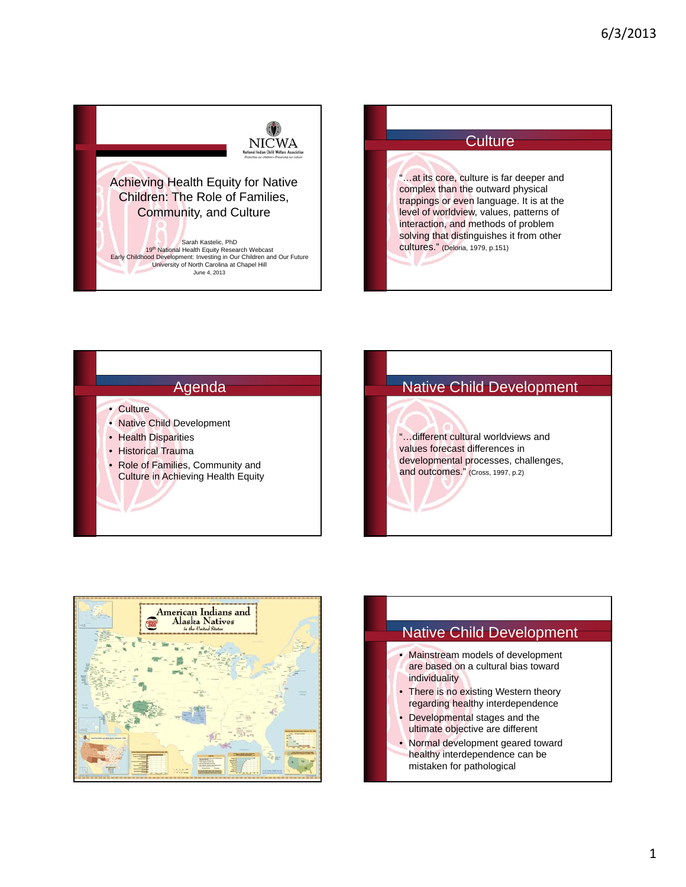







"…different cultural worldviews and values forecast differences in developmental processes, challenges, and outcomes." (Cross, 1997, p.2)



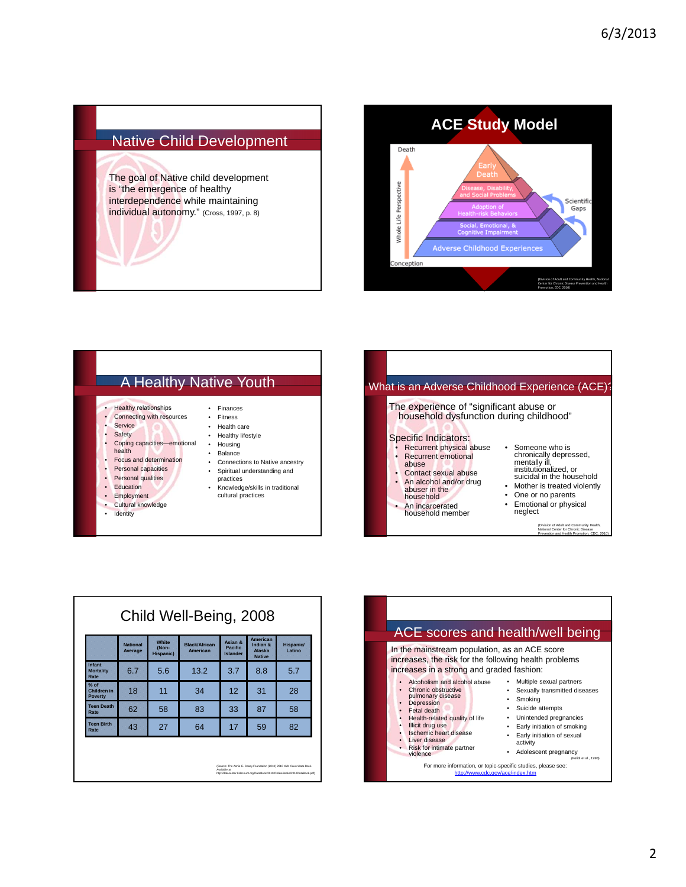## Native Child Development

The goal of Native child development is "the emergence of healthy interdependence while maintaining individual autonomy." (Cross, 1997, p. 8)



## A Healthy Native Youth • Healthy relationships • Connecting with resources **Service Safety** Coping capacities—emotional health • Focus and determination Personal capacities **Personal qualities** • Education • Employment Cultural knowledge • Identity • Finances • Fitness • Health care • Healthy lifestyle • Housing • Balance • Connections to Native ancestry • Spiritual understanding and practices • Knowledge/skills in traditional cultural practices

|                                                                                                                                                                                       | What is an Adverse Childhood Experience (ACE)?                                                                                                                                                     |  |  |  |  |
|---------------------------------------------------------------------------------------------------------------------------------------------------------------------------------------|----------------------------------------------------------------------------------------------------------------------------------------------------------------------------------------------------|--|--|--|--|
| The experience of "significant abuse or<br>household dysfunction during childhood"                                                                                                    |                                                                                                                                                                                                    |  |  |  |  |
| Specific Indicators:<br>Recurrent physical abuse<br>Recurrent emotional<br>abuse<br>Contact sexual abuse<br>• An alcohol and/or drug<br>abuser in the<br>household<br>An incarcerated | • Someone who is<br>chronically depressed,<br>mentally ill,<br>institutionalized, or<br>suicidal in the household<br>• Mother is treated violently<br>One or no parents<br>• Emotional or physical |  |  |  |  |

| An incarcerated  |
|------------------|
| household member |

(Division of Adult and Community Health, National Center for Chronic Disease Prevention and Health Promotion, CDC, 2010)

neglect

|                                         | <b>National</b><br>Average | White<br>(Non-<br><b>Hispanic)</b> | <b>Black/African</b><br>American | Asian &<br><b>Pacific</b><br><b>Islander</b> | <b>American</b><br>Indian &<br>Alaska<br><b>Native</b> | <b>Hispanic/</b><br>Latino |
|-----------------------------------------|----------------------------|------------------------------------|----------------------------------|----------------------------------------------|--------------------------------------------------------|----------------------------|
| Infant<br><b>Mortality</b><br>Rate      | 6.7                        | 5.6                                | 13.2                             | 3.7                                          | 8.8                                                    | 5.7                        |
| $%$ of<br>Children in<br><b>Poverty</b> | 18                         | 11                                 | 34                               | 12                                           | 31                                                     | 28                         |
| <b>Teen Death</b><br>Rate               | 62                         | 58                                 | 83                               | 33                                           | 87                                                     | 58                         |
| <b>Teen Birth</b><br>Rate               | 43                         | 27                                 | 64                               | 17                                           | 59                                                     | 82                         |

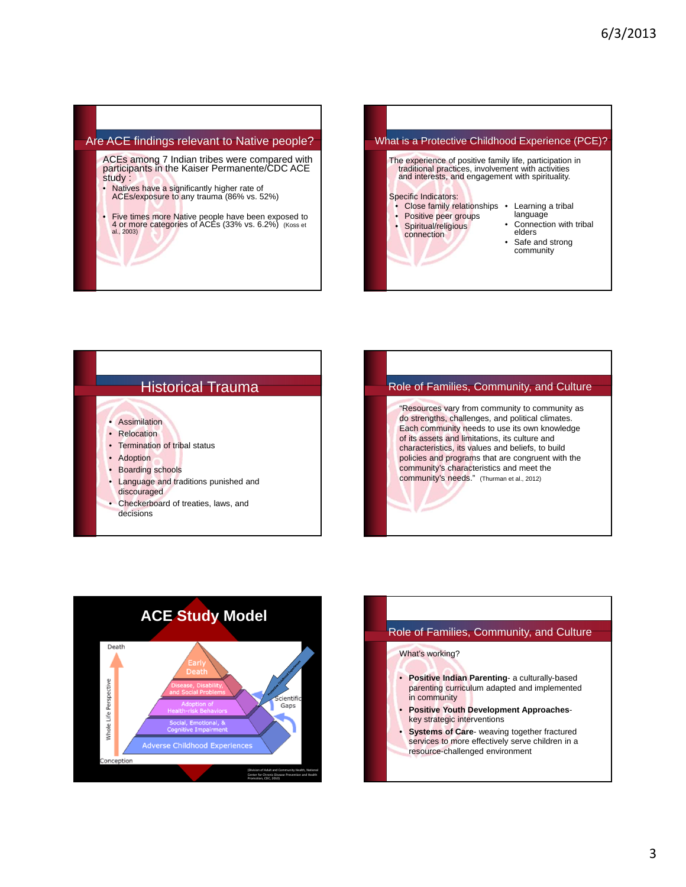## Are ACE findings relevant to Native people?

ACEs among 7 Indian tribes were compared with participants in the Kaiser Permanente/CDC ACE study :

- Natives have a significantly higher rate of ACEs/exposure to any trauma (86% vs. 52%)
- Five times more Native people have been exposed to 4 or more categories of ACEs (33% vs. 6.2%) (Koss et al., 2003)









## Role of Families, Community, and Culture

What's working?

- **Positive Indian Parenting** a culturally-based parenting curriculum adapted and implemented in community
- **Positive Youth Development Approaches**key strategic interventions
- **Systems of Care** weaving together fractured services to more effectively serve children in a resource-challenged environment